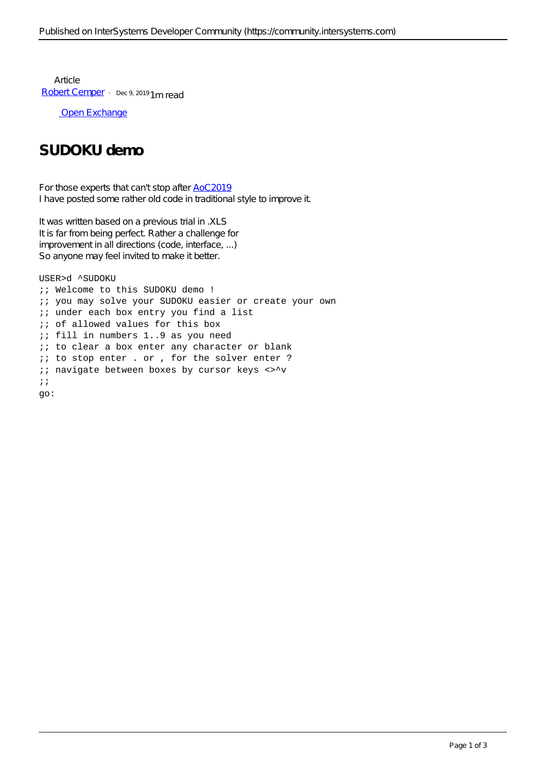**Article** [Robert Cemper](https://community.intersystems.com/user/robert-cemper-0) · Dec 9, 2019 1m read

[Open Exchange](https://openexchange.intersystems.com/package/SUDOKU-Demo)

## **SUDOKU demo**

For those experts that can't stop after [AoC2019](https://community.intersystems.com/post/advent-code-2019-has-been-started-win-and-get-ticket-intersystems-global-summit-2020-seattle) I have posted some rather old code in traditional style to improve it.

It was written based on a previous trial in .XLS It is far from being perfect. Rather a challenge for improvement in all directions (code, interface, ...) So anyone may feel invited to make it better.

```
USER>d ^SUDOKU
;; Welcome to this SUDOKU demo !
;; you may solve your SUDOKU easier or create your own
;; under each box entry you find a list
i; of allowed values for this box
;; fill in numbers 1..9 as you need
i; to clear a box enter any character or blank
;; to stop enter . or , for the solver enter ?
i navigate between boxes by cursor keys <>^v
;;
go:
```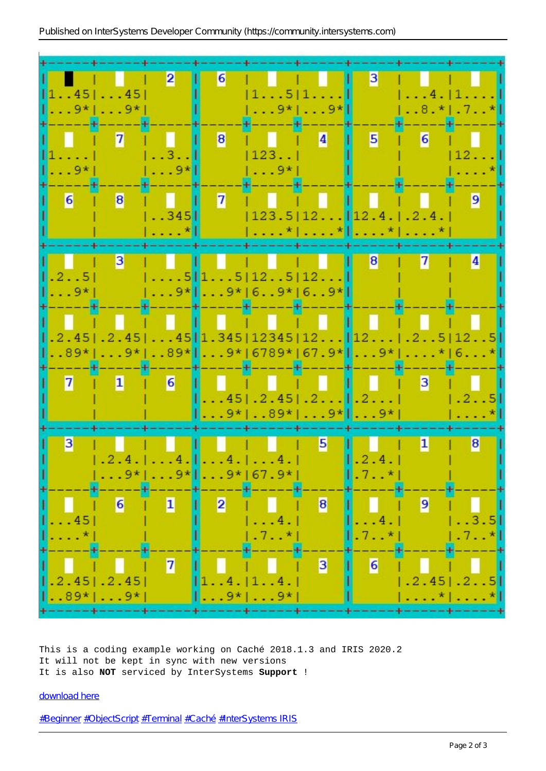

This is a coding example working on Caché 2018.1.3 and IRIS 2020.2 It will not be kept in sync with new versions It is also **NOT** serviced by InterSystems **Support** !

## [download here](https://github.com/rcemper/SUDOKU-en/blob/master/SUDOKU5en.xml)

[#Beginner](https://community.intersystems.com/tags/beginner) [#ObjectScript](https://community.intersystems.com/tags/objectscript) [#Terminal](https://community.intersystems.com/tags/terminal) [#Caché](https://community.intersystems.com/tags/cach%C3%A9) [#InterSystems IRIS](https://community.intersystems.com/tags/intersystems-iris)